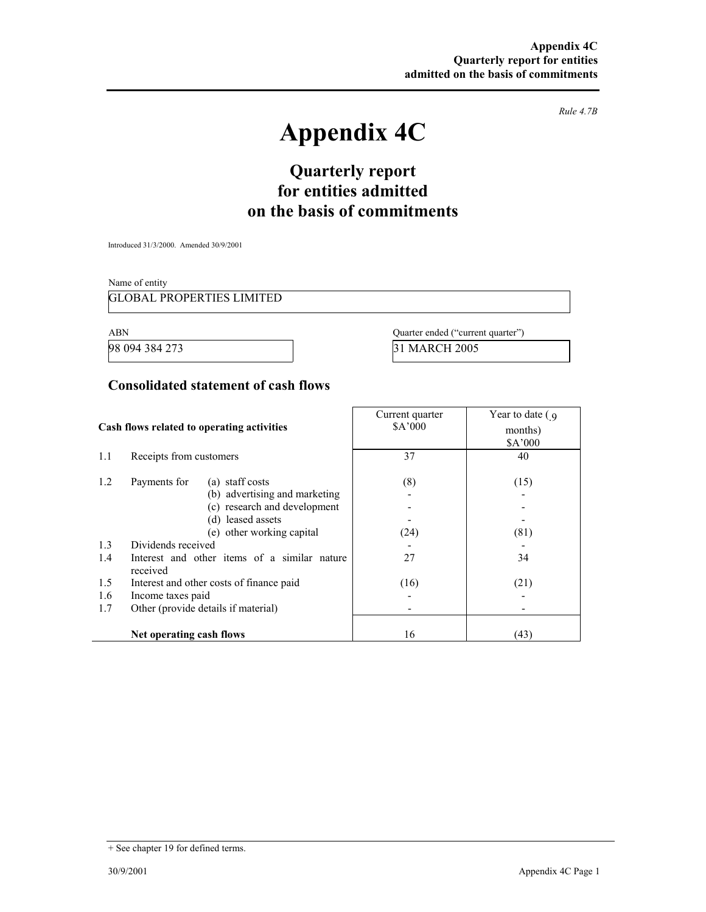*Rule 4.7B* 

# **Appendix 4C**

# **Quarterly report for entities admitted on the basis of commitments**

Introduced 31/3/2000. Amended 30/9/2001

Name of entity

GLOBAL PROPERTIES LIMITED

ABN Quarter ended ("current quarter")

98 094 384 273 31 MARCH 2005

#### **Consolidated statement of cash flows**

| Cash flows related to operating activities |                                                          | Current quarter<br>\$A'000 | Year to date $\left($ 9<br>months) |
|--------------------------------------------|----------------------------------------------------------|----------------------------|------------------------------------|
|                                            |                                                          |                            | \$A'000                            |
| 1.1                                        | Receipts from customers                                  | 37                         | 40                                 |
| 1.2                                        | Payments for<br>(a) staff costs                          | (8)                        | (15)                               |
|                                            | (b) advertising and marketing                            |                            |                                    |
|                                            | (c) research and development                             |                            |                                    |
|                                            | (d) leased assets                                        |                            |                                    |
|                                            | (e) other working capital                                | (24)                       | (81)                               |
| 1.3                                        | Dividends received                                       |                            |                                    |
| 1.4                                        | Interest and other items of a similar nature<br>received | 27                         | 34                                 |
| 1.5                                        | Interest and other costs of finance paid                 | (16)                       | (21)                               |
| 1.6                                        | Income taxes paid                                        |                            |                                    |
| 1.7                                        | Other (provide details if material)                      |                            |                                    |
|                                            |                                                          |                            |                                    |
|                                            | Net operating cash flows                                 | 16                         | (43)                               |

<sup>+</sup> See chapter 19 for defined terms.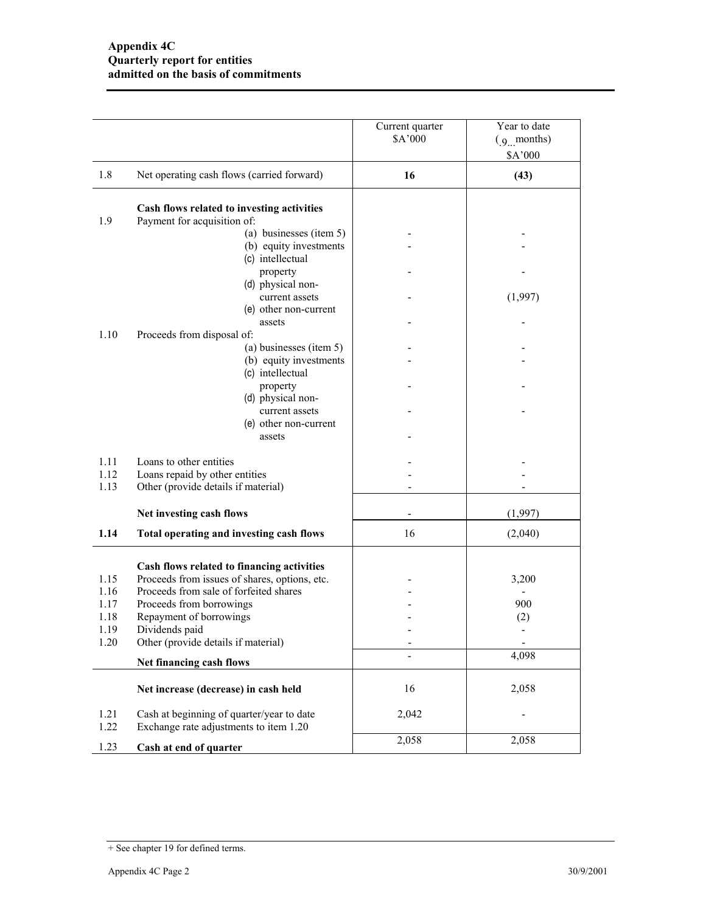|                      |                                                                                                  | Current quarter<br>\$A'000 | Year to date<br>$(g \mod b)$<br>\$A'000 |
|----------------------|--------------------------------------------------------------------------------------------------|----------------------------|-----------------------------------------|
| 1.8                  | Net operating cash flows (carried forward)                                                       | 16                         | (43)                                    |
| 1.9                  | Cash flows related to investing activities<br>Payment for acquisition of:                        |                            |                                         |
|                      | (a) businesses (item 5)<br>(b) equity investments                                                |                            |                                         |
|                      | (c) intellectual<br>property<br>(d) physical non-                                                |                            |                                         |
|                      | current assets<br>(e) other non-current                                                          |                            | (1,997)                                 |
| 1.10                 | assets<br>Proceeds from disposal of:                                                             |                            |                                         |
|                      | (a) businesses (item 5)<br>(b) equity investments<br>(c) intellectual                            |                            |                                         |
|                      | property<br>(d) physical non-                                                                    |                            |                                         |
|                      | current assets<br>(e) other non-current                                                          |                            |                                         |
|                      | assets                                                                                           |                            |                                         |
| 1.11<br>1.12<br>1.13 | Loans to other entities<br>Loans repaid by other entities<br>Other (provide details if material) |                            |                                         |
|                      | Net investing cash flows                                                                         |                            | (1,997)                                 |
| 1.14                 | Total operating and investing cash flows                                                         | 16                         | (2,040)                                 |
|                      | Cash flows related to financing activities                                                       |                            |                                         |
| 1.15<br>1.16         | Proceeds from issues of shares, options, etc.<br>Proceeds from sale of forfeited shares          |                            | 3,200                                   |
| 1.17                 | Proceeds from borrowings                                                                         |                            | 900                                     |
| 1.18                 | Repayment of borrowings                                                                          |                            | (2)                                     |
| 1.19                 | Dividends paid                                                                                   |                            |                                         |
| 1.20                 | Other (provide details if material)                                                              | -                          | 4,098                                   |
|                      | Net financing cash flows                                                                         |                            |                                         |
|                      | Net increase (decrease) in cash held                                                             | 16                         | 2,058                                   |
| 1.21<br>1.22         | Cash at beginning of quarter/year to date<br>Exchange rate adjustments to item 1.20              | 2,042                      |                                         |
| 1.23                 | Cash at end of quarter                                                                           | 2,058                      | 2,058                                   |

<sup>+</sup> See chapter 19 for defined terms.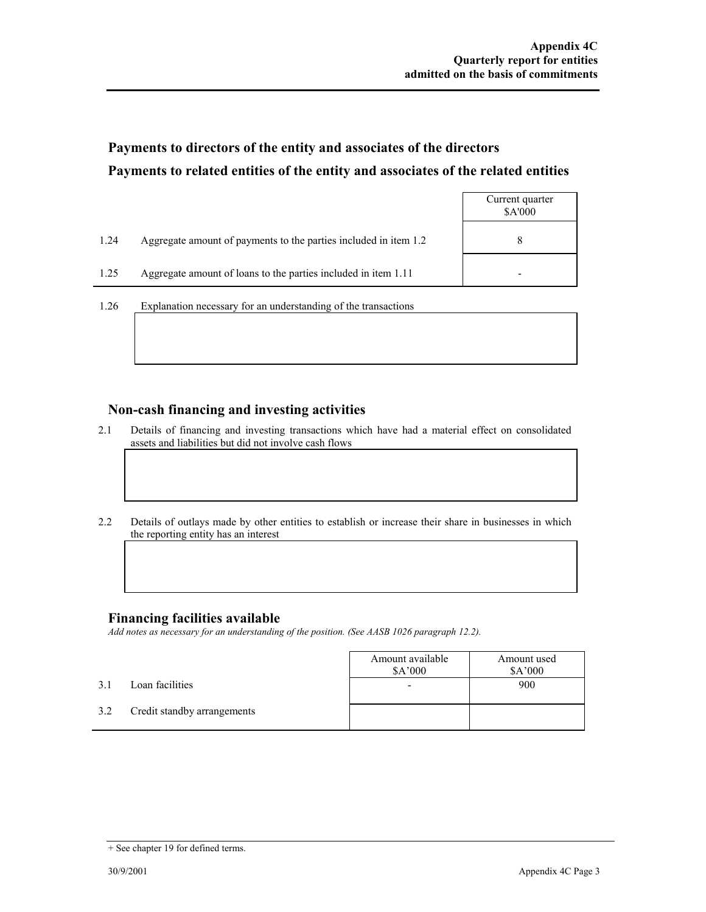# **Payments to directors of the entity and associates of the directors Payments to related entities of the entity and associates of the related entities**

|      |                                                                  | Current quarter<br>\$A'000 |
|------|------------------------------------------------------------------|----------------------------|
| 1.24 | Aggregate amount of payments to the parties included in item 1.2 | 8                          |
| 1.25 | Aggregate amount of loans to the parties included in item 1.11   | -                          |

1.26 Explanation necessary for an understanding of the transactions

#### **Non-cash financing and investing activities**

- 2.1 Details of financing and investing transactions which have had a material effect on consolidated assets and liabilities but did not involve cash flows
- 2.2 Details of outlays made by other entities to establish or increase their share in businesses in which the reporting entity has an interest

#### **Financing facilities available**

*Add notes as necessary for an understanding of the position. (See AASB 1026 paragraph 12.2).* 

|     |                             | Amount available<br>\$A'000 | Amount used<br>\$A'000 |
|-----|-----------------------------|-----------------------------|------------------------|
| 3.1 | Loan facilities             |                             | 900                    |
| 3.2 | Credit standby arrangements |                             |                        |

<sup>+</sup> See chapter 19 for defined terms.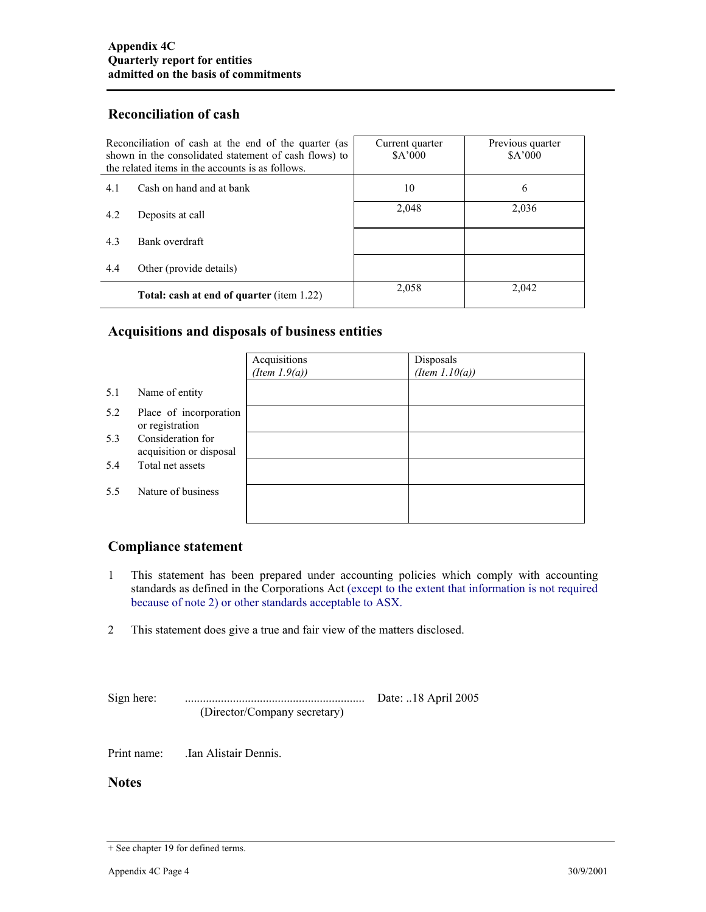## **Reconciliation of cash**

| Reconciliation of cash at the end of the quarter (as<br>shown in the consolidated statement of cash flows) to<br>the related items in the accounts is as follows. |                                                  | Current quarter<br>\$A'000 | Previous quarter<br>\$A'000 |
|-------------------------------------------------------------------------------------------------------------------------------------------------------------------|--------------------------------------------------|----------------------------|-----------------------------|
| 4.1                                                                                                                                                               | Cash on hand and at bank                         | 10                         | 6                           |
| 4.2                                                                                                                                                               | Deposits at call                                 | 2,048                      | 2,036                       |
| 4.3                                                                                                                                                               | Bank overdraft                                   |                            |                             |
| 4.4                                                                                                                                                               | Other (provide details)                          |                            |                             |
|                                                                                                                                                                   | <b>Total: cash at end of quarter (item 1.22)</b> | 2,058                      | 2,042                       |

## **Acquisitions and disposals of business entities**

|     |                                              | Acquisitions<br>(Item $1.9(a)$ ) | Disposals<br>(Item $1.10(a)$ ) |
|-----|----------------------------------------------|----------------------------------|--------------------------------|
| 5.1 | Name of entity                               |                                  |                                |
| 5.2 | Place of incorporation<br>or registration    |                                  |                                |
| 5.3 | Consideration for<br>acquisition or disposal |                                  |                                |
| 5.4 | Total net assets                             |                                  |                                |
| 5.5 | Nature of business                           |                                  |                                |
|     |                                              |                                  |                                |

## **Compliance statement**

- 1 This statement has been prepared under accounting policies which comply with accounting standards as defined in the Corporations Act (except to the extent that information is not required because of note 2) or other standards acceptable to ASX.
- 2 This statement does give a true and fair view of the matters disclosed.

Sign here: ............................................................ Date: ..18 April 2005 (Director/Company secretary)

Print name: .Ian Alistair Dennis.

**Notes** 

<sup>+</sup> See chapter 19 for defined terms.